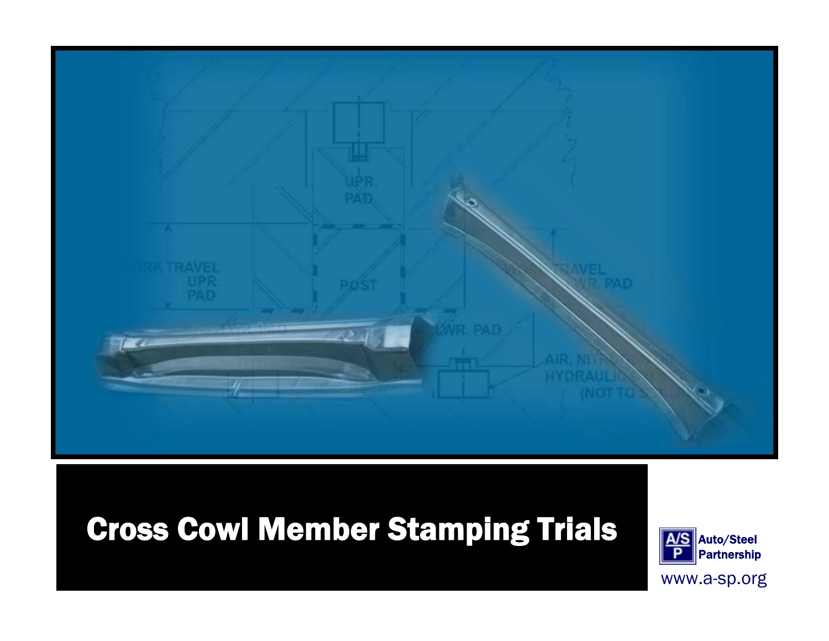

# Cross Cowl Member Stamping Trials Auto/Steel



www.a-sp.org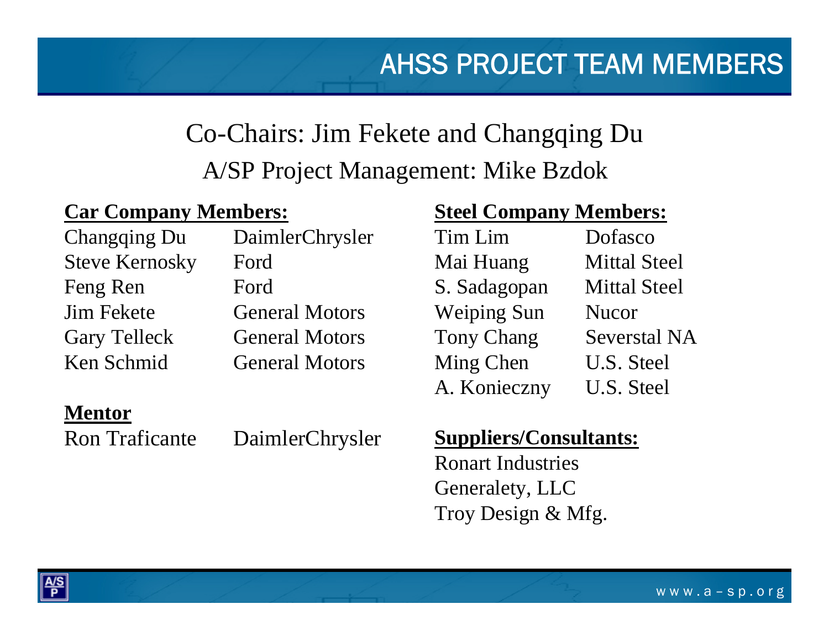## Co-Chairs: Jim Fekete and Changqing Du A/SP Project Management: Mike Bzdok

#### **Car Company Members:**

Steve Kernosky Ford Feng Ren Ford

Changqing Du DaimlerChrysler Jim Fekete General MotorsGary Telleck General Motors Ken Schmid General Motors

#### **Mentor**

Ron Traficante DaimlerChrysler

# **Steel Company Members:**

| Tim Lim            | Dofasco             |
|--------------------|---------------------|
| Mai Huang          | <b>Mittal Steel</b> |
| S. Sadagopan       | <b>Mittal Steel</b> |
| <b>Weiping Sun</b> | <b>Nucor</b>        |
| <b>Tony Chang</b>  | <b>Severstal NA</b> |
| Ming Chen          | U.S. Steel          |
| A. Konieczny       | U.S. Steel          |
|                    |                     |

#### **Suppliers/Consultants:**

Ronart IndustriesGeneralety, LLC Troy Design & Mfg.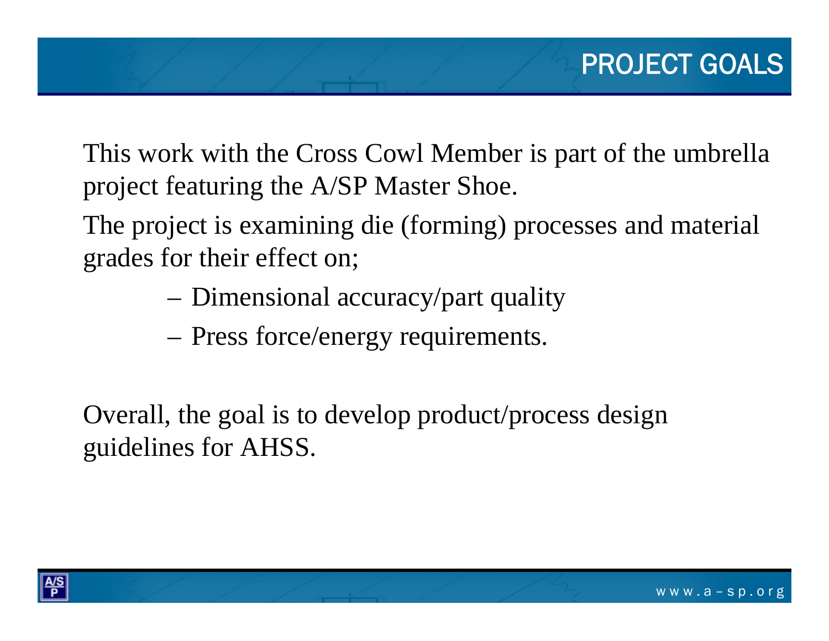This work with the Cross Cowl Member is part of the umbrella project featuring the A/SP Master Shoe.

The project is examining die (forming) processes and material grades for their effect on;

- Dimensional accuracy/part quality
- Press force/energy requirements.

Overall, the goal is to develop product/process design guidelines for AHSS.

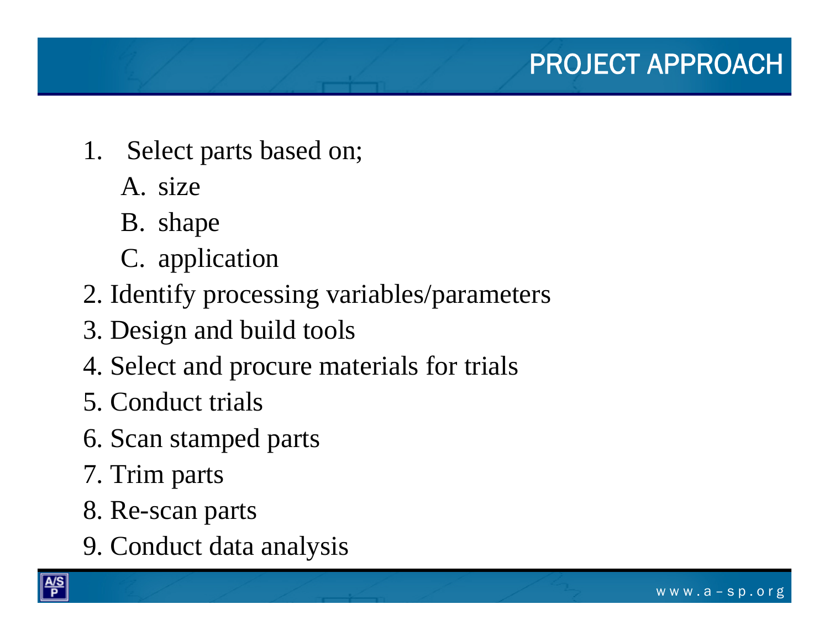- 1. Select parts based on;
	- A. size
	- B. shape
	- C. application
- 2. Identify processing variables/parameters
- 3. Design and build tools
- 4. Select and procure materials for trials
- 5. Conduct trials
- 6. Scan stamped parts
- 7. Trim parts
- 8. Re-scan parts
- 9. Conduct data analysis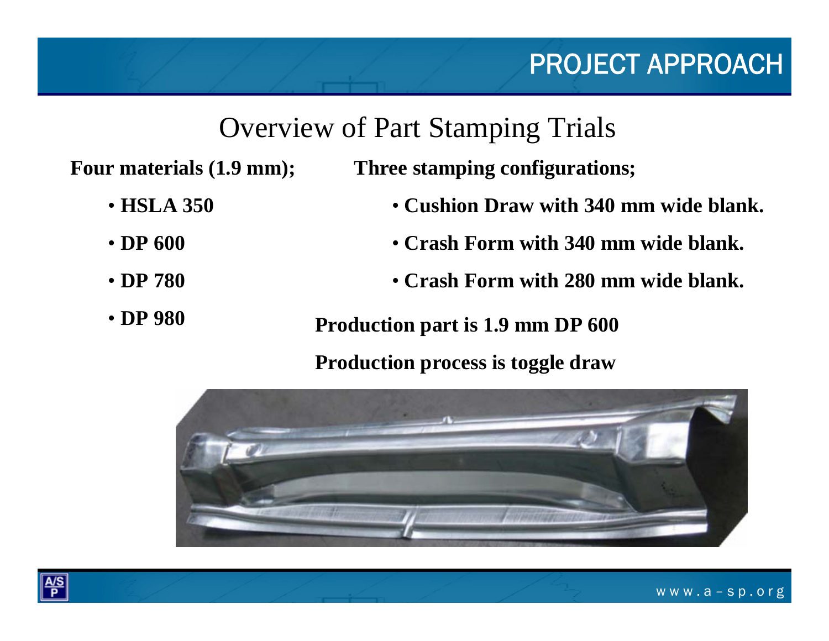# PROJECT APPROACH

# Overview of Part Stamping Trials

**Four materials (1.9 mm);**

**Three stamping configurations;**

- **Cushion Draw with 340 mm wide blank.**
	- **Crash Form with 340 mm wide blank.**
	- **Crash Form with 280 mm wide blank.**
	- **Production part is 1.9 mm DP 600**

#### **Production process is toggle draw**





• **DP 980**

• **HSLA 350**

• **DP 600** 

• **DP 780**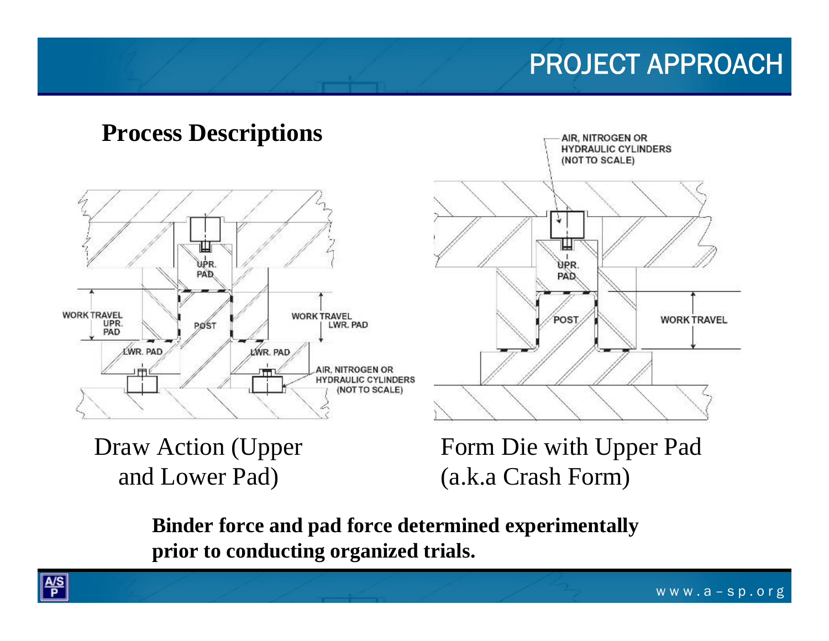# PROJECT APPROACH

### **Process Descriptions**



AIR, NITROGEN OR **HYDRAULIC CYLINDERS** (NOT TO SCALE) ÜPR. PAF POST **WORK TRAVEL** 

Draw Action (Upper and Lower Pad)

Form Die with Upper Pad (a.k.a Crash Form)

**Binder force and pad force determined experimentally prior to conducting organized trials.**

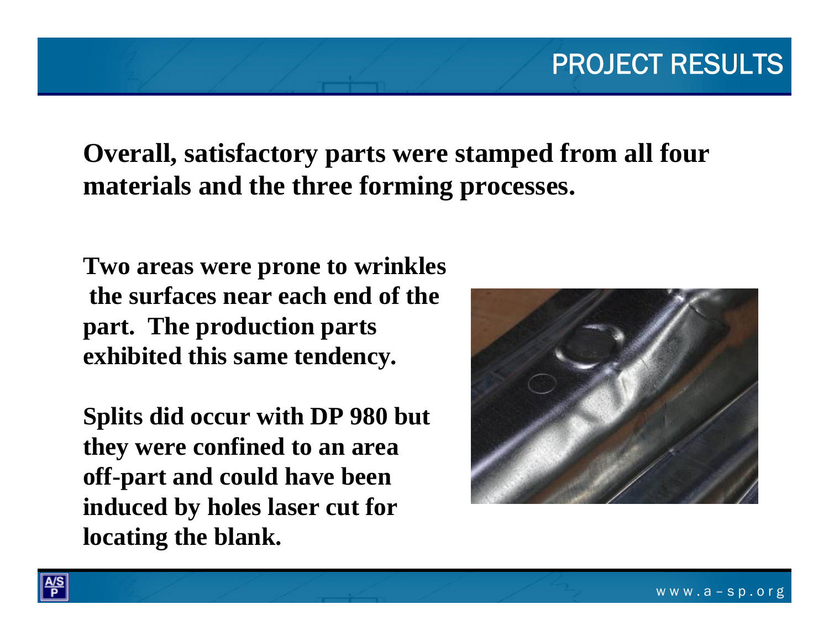## **Overall, satisfactory parts were stamped from all four materials and the three forming processes.**

**Two areas were prone to wrinkles the surfaces near each end of the part. The production parts exhibited this same tendency.**

**Splits did occur with DP 980 but they were confined to an area off-part and could have been induced by holes laser cut for locating the blank.**



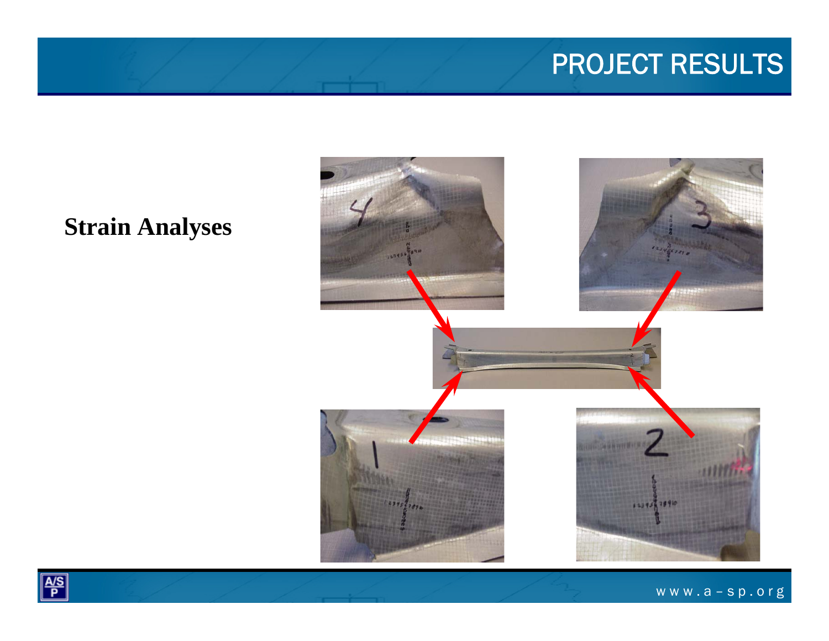### **Strain Analyses**



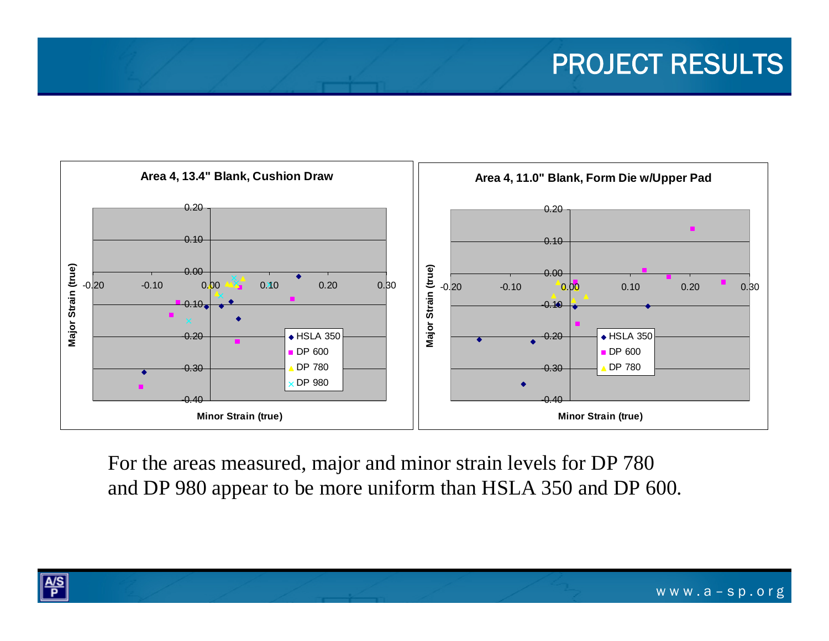

For the areas measured, major and minor strain levels for DP 780 and DP 980 appear to be more uniform than HSLA 350 and DP 600.

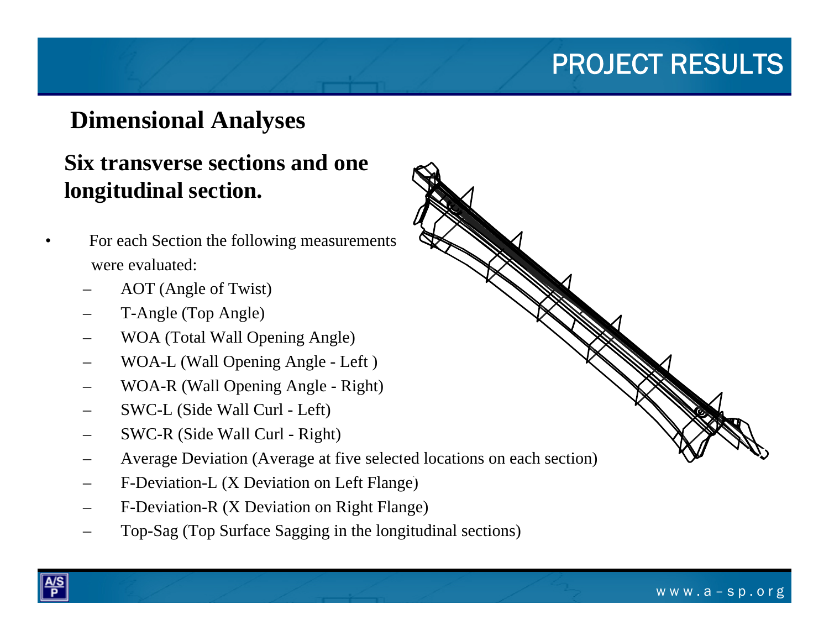## **Dimensional Analyses**

### **Six transverse sections and one longitudinal section.**

- • For each Section the following measurements were evaluated:
	- AOT (Angle of Twist)
	- T-Angle (Top Angle)
	- WOA (Total Wall Opening Angle)
	- WOA-L (Wall Opening Angle Left )
	- WOA-R (Wall Opening Angle Right)
	- SWC-L (Side Wall Curl Left)
	- SWC-R (Side Wall Curl Right)
	- Average Deviation (Average at five selected locations on each section)
	- F-Deviation-L (X Deviation on Left Flange)
	- F-Deviation-R (X Deviation on Right Flange)
	- Top-Sag (Top Surface Sagging in the longitudinal sections)



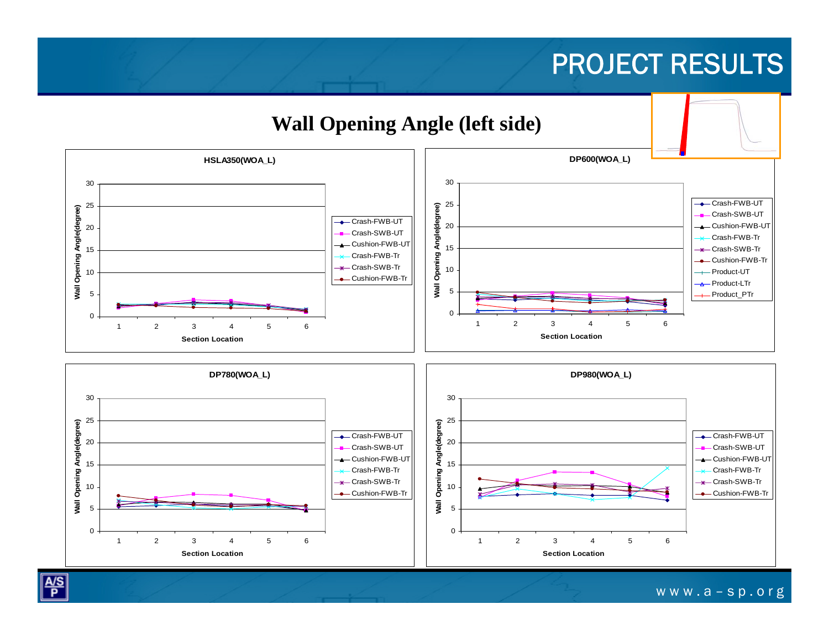

 $\sqrt{\frac{A/S}{P}}$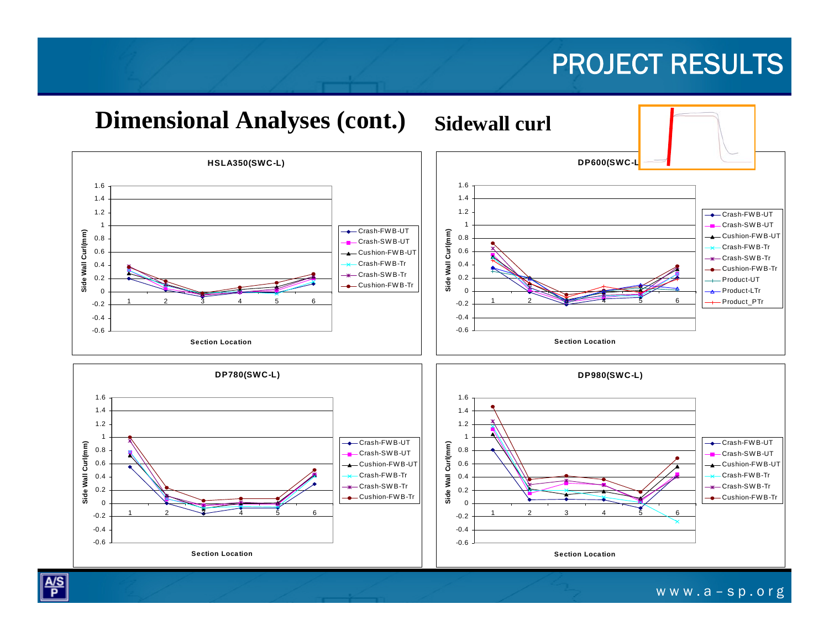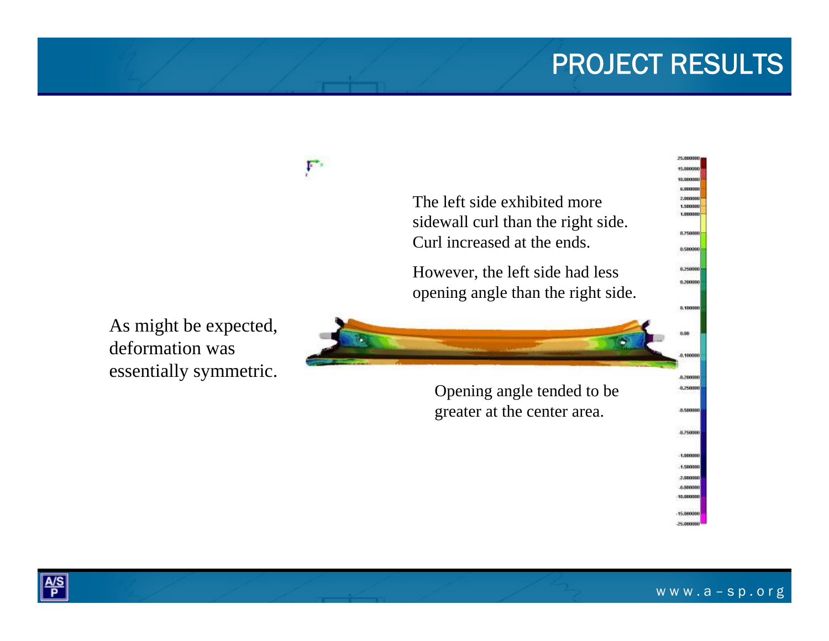

 $\frac{A/S}{P}$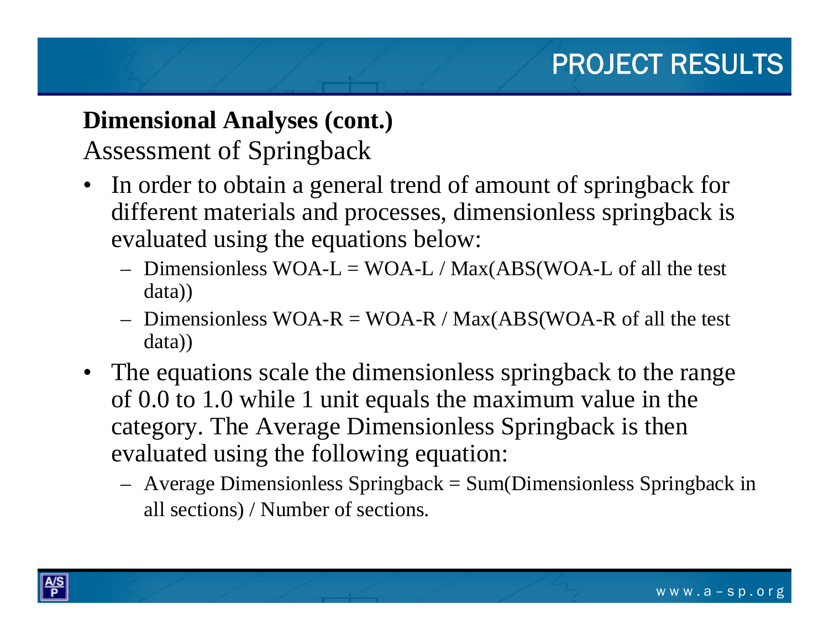# **Dimensional Analyses (cont.)**

## Assessment of Springback

- •In order to obtain a general trend of amount of springback for different materials and processes, dimensionless springback is evaluated using the equations below:
	- $-$  Dimensionless WOA-L = WOA-L / Max(ABS(WOA-L of all the test data))
	- $-$  Dimensionless WOA-R = WOA-R / Max(ABS(WOA-R of all the test data))
- The equations scale the dimensionless springback to the range of 0.0 to 1.0 while 1 unit equals the maximum value in the category. The Average Dimensionless Springback is then evaluated using the following equation:
	- Average Dimensionless Springback = Sum(Dimensionless Springback in all sections) / Number of sections.

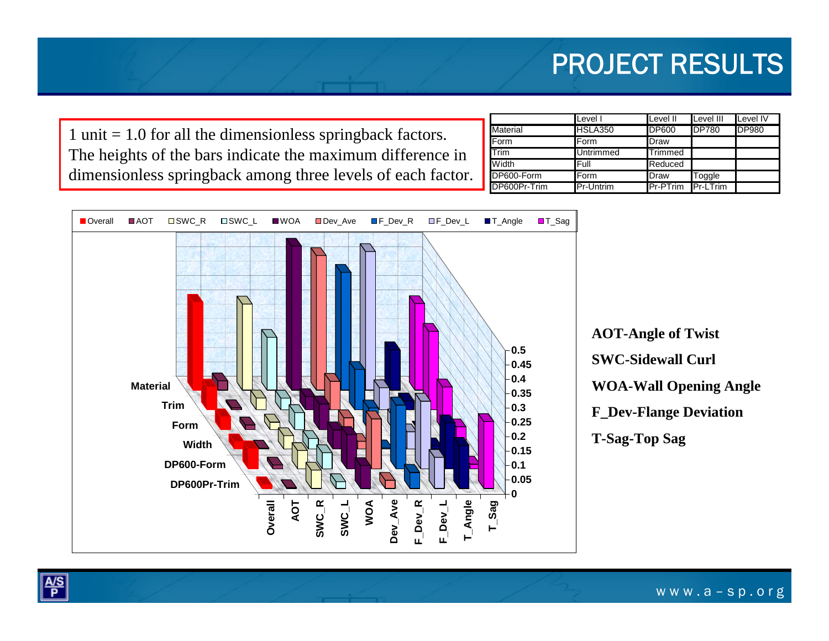1 unit = 1.0 for all the dimensionless springback factors. The heights of the bars indicate the maximum difference in dimensionless springback among three levels of each factor.

|                 | Level I          | Level II                 | Level III    | Level IV     |
|-----------------|------------------|--------------------------|--------------|--------------|
| <b>Material</b> | <b>HSLA350</b>   | <b>DP600</b>             | <b>DP780</b> | <b>DP980</b> |
| Form            | Form             | Draw                     |              |              |
| Trim            | <b>Untrimmed</b> | <b>Trimmed</b>           |              |              |
| Width           | lFull            | Reduced                  |              |              |
| DP600-Form      | Form             | Draw                     | Toggle       |              |
| DP600Pr-Trim    | <b>Pr-Untrim</b> | <b>Pr-PTrim Pr-LTrim</b> |              |              |





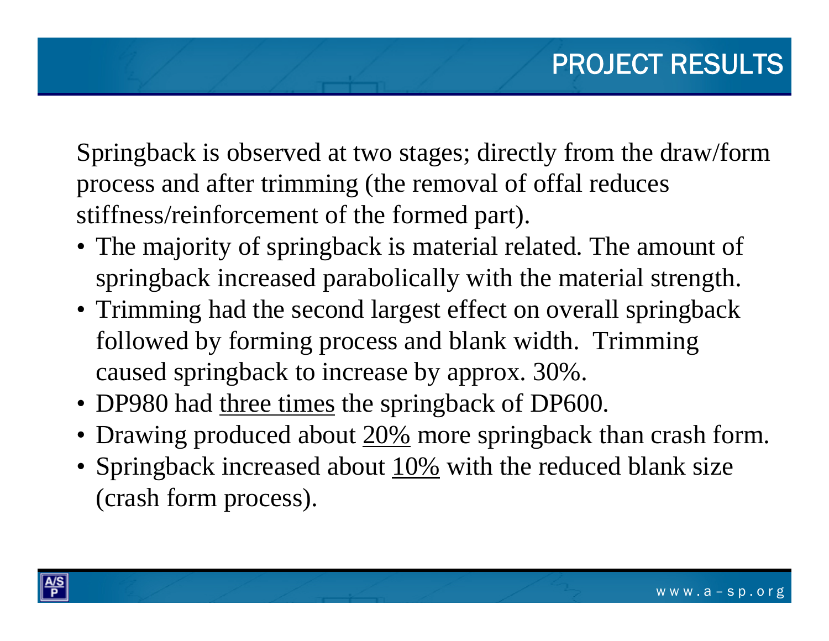Springback is observed at two stages; directly from the draw/form process and after trimming (the removal of offal reduces stiffness/reinforcement of the formed part).

- The majority of springback is material related. The amount of springback increased parabolically with the material strength.
- Trimming had the second largest effect on overall springback followed by forming process and blank width. Trimming caused springback to increase by approx. 30%.
- DP980 had three times the springback of DP600.
- Drawing produced about 20% more springback than crash form.
- Springback increased about 10% with the reduced blank size (crash form process).

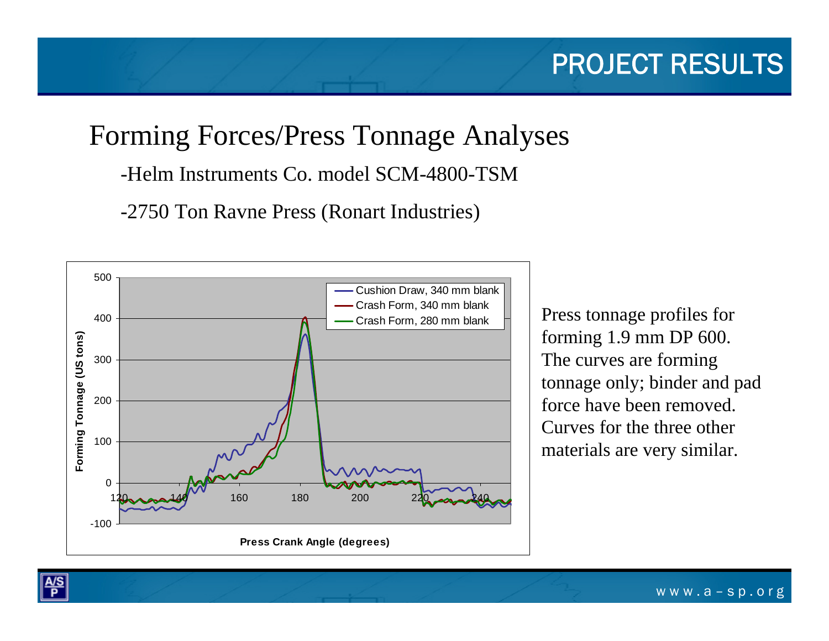# Forming Forces/Press Tonnage Analyses

-Helm Instruments Co. model SCM-4800-TSM

-2750 Ton Ravne Press (Ronart Industries)



Crash Form, 280 mm blank  $\vert \vert$  Press tonnage profiles for forming 1.9 mm DP 600. The curves are forming tonnage only; binder and pad force have been removed. Curves for the three other materials are very similar.

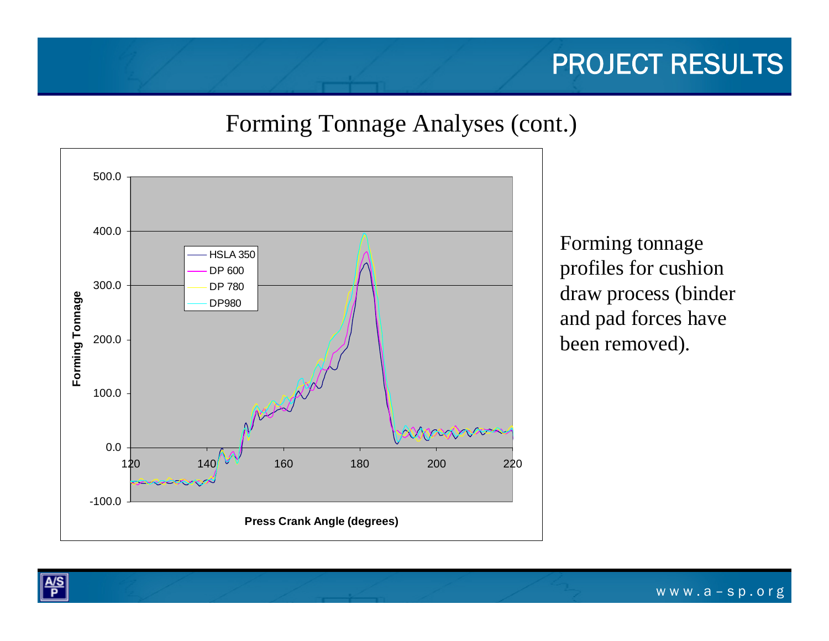### Forming Tonnage Analyses (cont.)



Forming tonnage profiles for cushion draw process (binder and pad forces have been removed).

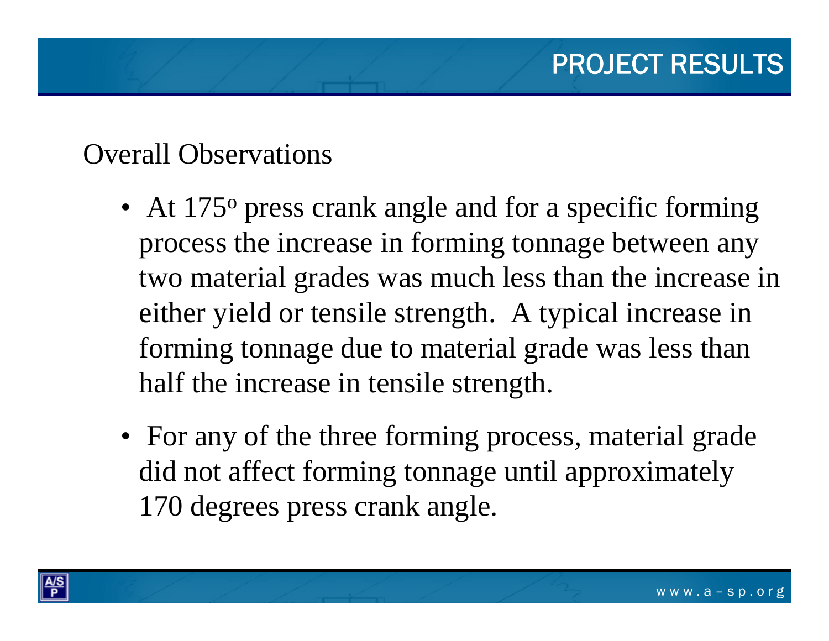## Overall Observations

- At 175<sup>°</sup> press crank angle and for a specific forming process the increase in forming tonnage between any two material grades was much less than the increase in either yield or tensile strength. A typical increase in forming tonnage due to material grade was less than half the increase in tensile strength.
- For any of the three forming process, material grade did not affect forming tonnage until approximately 170 degrees press crank angle.

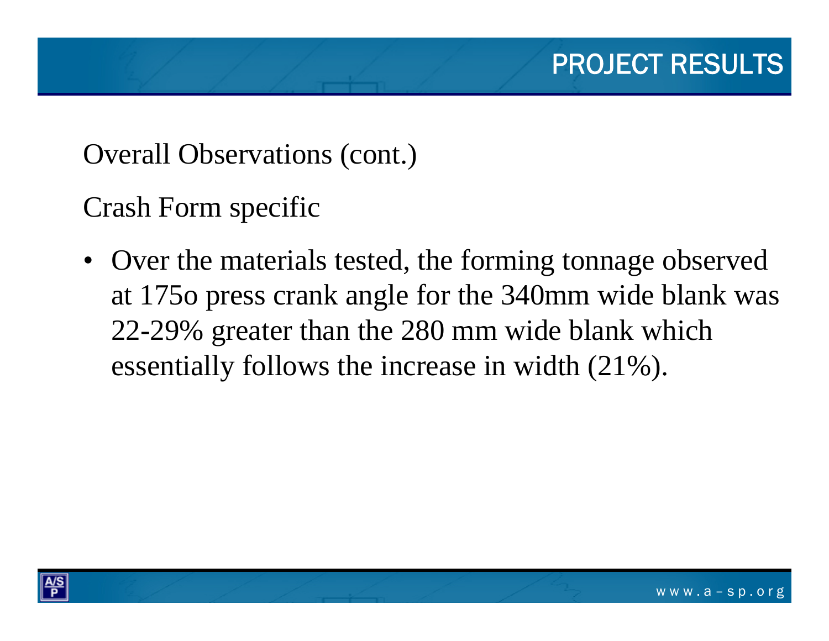Overall Observations (cont.)

Crash Form specific

• Over the materials tested, the forming tonnage observed at 175o press crank angle for the 340mm wide blank was 22-29% greater than the 280 mm wide blank which essentially follows the increase in width (21%).

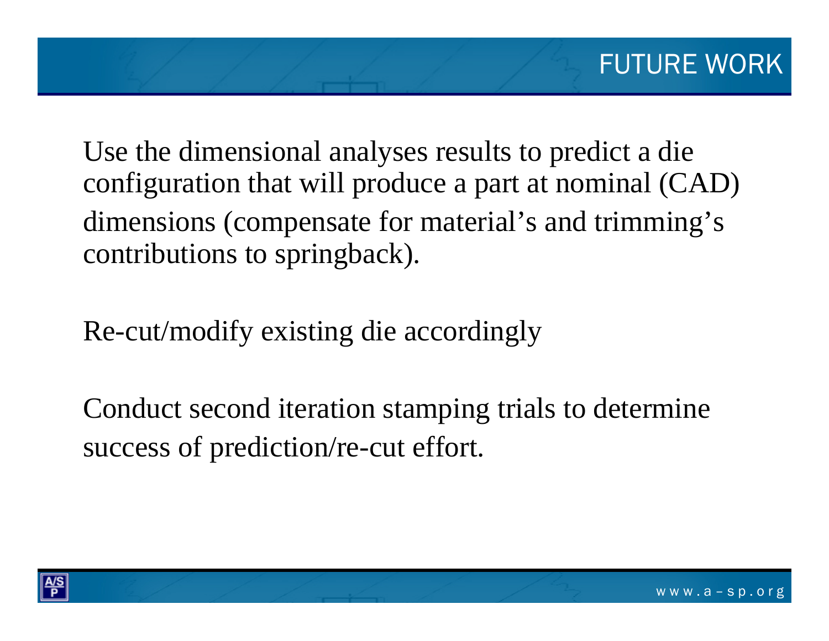Use the dimensional analyses results to predict a die configuration that will produce a part at nominal (CAD) dimensions (compensate for material's and trimming's contributions to springback).

Re-cut/modify existing die accordingly

Conduct second iteration stamping trials to determine success of prediction/re-cut effort.